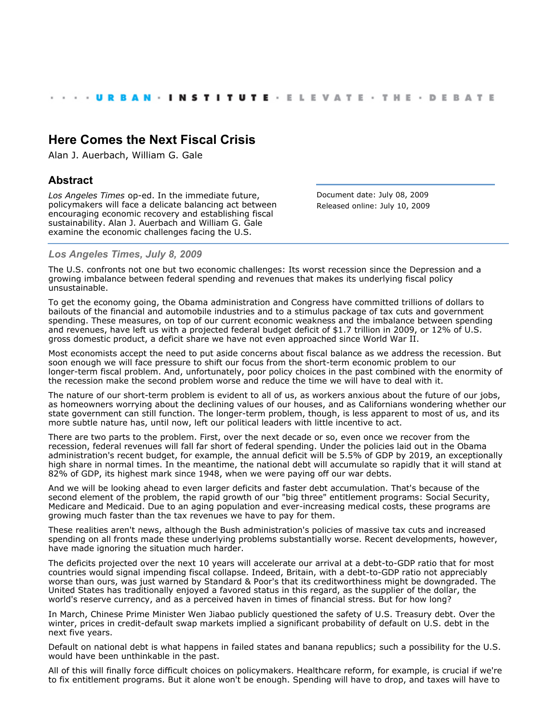## **[Here Comes the Next Fiscal Crisis](http://www.urban.org/index.cfm)**

Alan J. Auerbach, William G. Gale

## **Abstract**

*Los Angeles Times* op-ed. In the immediate future, policymakers will face a delicate balancing act between encouraging economic recovery and establishing fiscal sustainability. Alan J. Auerbach and William G. Gale examine the economic challenges facing the U.S.

Document date: July 08, 2009 Released online: July 10, 2009

## *Los Angeles Times, July 8, 2009*

The U.S. confronts not one but two economic challenges: Its worst recession since the Depression and a growing imbalance between federal spending and revenues that makes its underlying fiscal policy unsustainable.

To get the economy going, the Obama administration and Congress have committed trillions of dollars to bailouts of the financial and automobile industries and to a stimulus package of tax cuts and government spending. These measures, on top of our current economic weakness and the imbalance between spending and revenues, have left us with a projected federal budget deficit of \$1.7 trillion in 2009, or 12% of U.S. gross domestic product, a deficit share we have not even approached since World War II.

Most economists accept the need to put aside concerns about fiscal balance as we address the recession. But soon enough we will face pressure to shift our focus from the short-term economic problem to our longer-term fiscal problem. And, unfortunately, poor policy choices in the past combined with the enormity of the recession make the second problem worse and reduce the time we will have to deal with it.

The nature of our short-term problem is evident to all of us, as workers anxious about the future of our jobs, as homeowners worrying about the declining values of our houses, and as Californians wondering whether our state government can still function. The longer-term problem, though, is less apparent to most of us, and its more subtle nature has, until now, left our political leaders with little incentive to act.

There are two parts to the problem. First, over the next decade or so, even once we recover from the recession, federal revenues will fall far short of federal spending. Under the policies laid out in the Obama administration's recent budget, for example, the annual deficit will be 5.5% of GDP by 2019, an exceptionally high share in normal times. In the meantime, the national debt will accumulate so rapidly that it will stand at 82% of GDP, its highest mark since 1948, when we were paying off our war debts.

And we will be looking ahead to even larger deficits and faster debt accumulation. That's because of the second element of the problem, the rapid growth of our "big three" entitlement programs: Social Security, Medicare and Medicaid. Due to an aging population and ever-increasing medical costs, these programs are growing much faster than the tax revenues we have to pay for them.

These realities aren't news, although the Bush administration's policies of massive tax cuts and increased spending on all fronts made these underlying problems substantially worse. Recent developments, however, have made ignoring the situation much harder.

The deficits projected over the next 10 years will accelerate our arrival at a debt-to-GDP ratio that for most countries would signal impending fiscal collapse. Indeed, Britain, with a debt-to-GDP ratio not appreciably worse than ours, was just warned by Standard & Poor's that its creditworthiness might be downgraded. The United States has traditionally enjoyed a favored status in this regard, as the supplier of the dollar, the world's reserve currency, and as a perceived haven in times of financial stress. But for how long?

In March, Chinese Prime Minister Wen Jiabao publicly questioned the safety of U.S. Treasury debt. Over the winter, prices in credit-default swap markets implied a significant probability of default on U.S. debt in the next five years.

Default on national debt is what happens in failed states and banana republics; such a possibility for the U.S. would have been unthinkable in the past.

All of this will finally force difficult choices on policymakers. Healthcare reform, for example, is crucial if we're to fix entitlement programs. But it alone won't be enough. Spending will have to drop, and taxes will have to